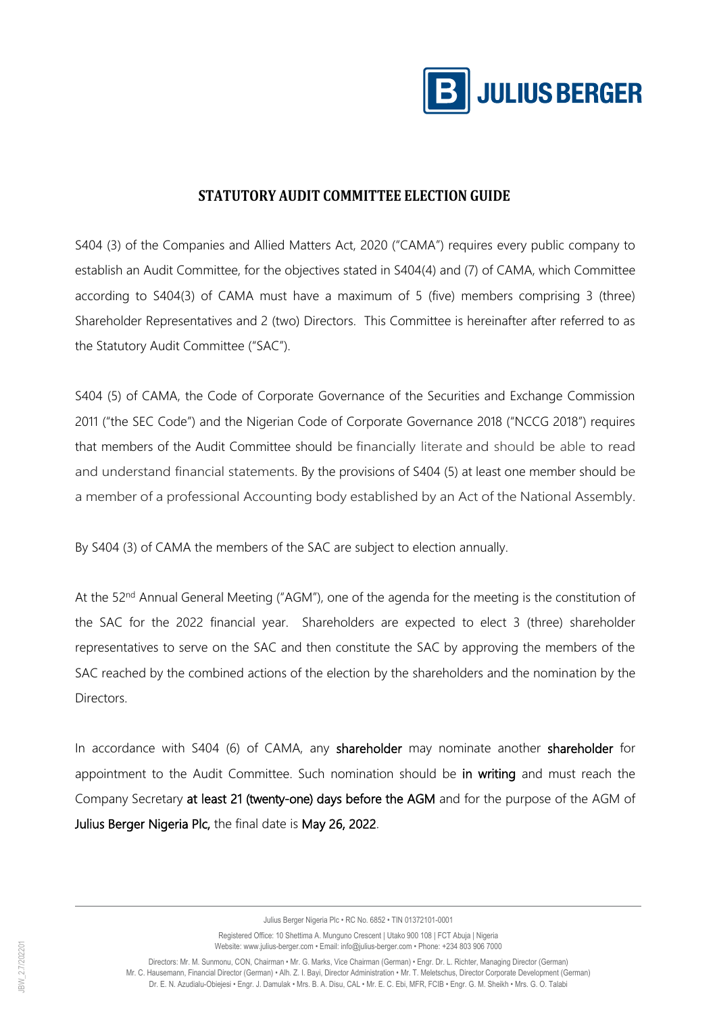

## **STATUTORY AUDIT COMMITTEE ELECTION GUIDE**

S404 (3) of the Companies and Allied Matters Act, 2020 ("CAMA") requires every public company to establish an Audit Committee, for the objectives stated in S404(4) and (7) of CAMA, which Committee according to S404(3) of CAMA must have a maximum of 5 (five) members comprising 3 (three) Shareholder Representatives and 2 (two) Directors. This Committee is hereinafter after referred to as the Statutory Audit Committee ("SAC").

S404 (5) of CAMA, the Code of Corporate Governance of the Securities and Exchange Commission 2011 ("the SEC Code") and the Nigerian Code of Corporate Governance 2018 ("NCCG 2018") requires that members of the Audit Committee should be financially literate and should be able to read and understand financial statements. By the provisions of S404 (5) at least one member should be a member of a professional Accounting body established by an Act of the National Assembly.

By S404 (3) of CAMA the members of the SAC are subject to election annually.

At the 52<sup>nd</sup> Annual General Meeting ("AGM"), one of the agenda for the meeting is the constitution of the SAC for the 2022 financial year. Shareholders are expected to elect 3 (three) shareholder representatives to serve on the SAC and then constitute the SAC by approving the members of the SAC reached by the combined actions of the election by the shareholders and the nomination by the Directors.

In accordance with S404 (6) of CAMA, any shareholder may nominate another shareholder for appointment to the Audit Committee. Such nomination should be in writing and must reach the Company Secretary at least 21 (twenty-one) days before the AGM and for the purpose of the AGM of Julius Berger Nigeria Plc, the final date is May 26, 2022.

Registered Office: 10 Shettima A. Munguno Crescent | Utako 900 108 | FCT Abuja | Nigeria Website: www.julius-berger.com • Email: info@julius-berger.com • Phone: +234 803 906 7000

Directors: Mr. M. Sunmonu, CON, Chairman • Mr. G. Marks, Vice Chairman (German) • Engr. Dr. L. Richter, Managing Director (German) Mr. C. Hausemann, Financial Director (German) • Alh. Z. I. Bayi, Director Administration • Mr. T. Meletschus, Director Corporate Development (German) Website: www.julius-berger.com • Email: info@julius-berger.com • Phone: +234 803 906 7000<br>Directors: Mr. M. Sunmonu, CON, Chairman • Mr. G. Marks, Vice Chairman (German) • Engr. Dr. L. Richter, Managing Director (German)